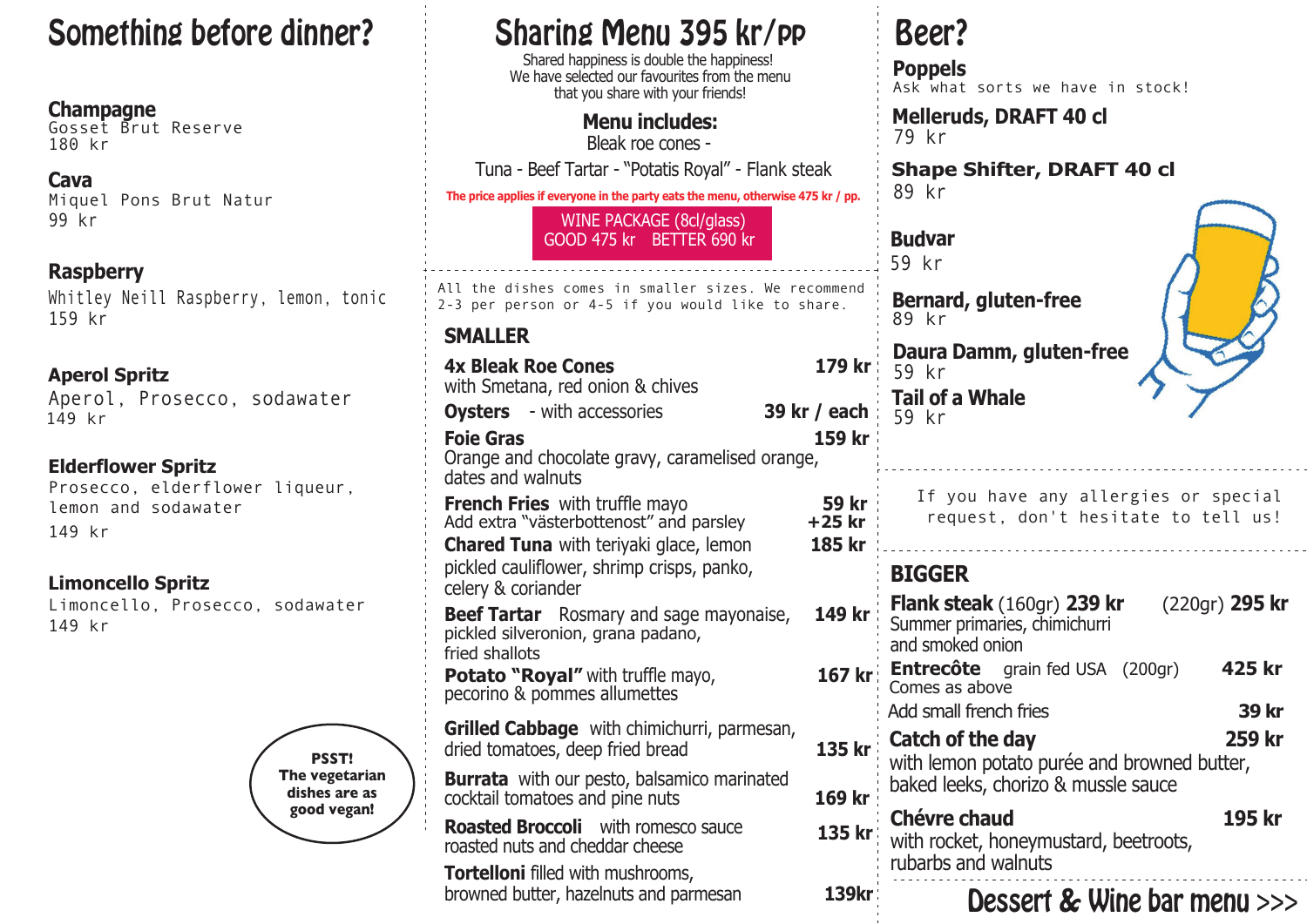# Something before dinner? Sharing Menu 395 kr/pp Beer?

**Champagne** 180 kr Gosset Brut Reserve

**Cava** 99 kr Miquel Pons Brut Natur

**Raspberry** Whitley Neill Raspberry, lemon, tonic 159 kr

**Aperol Spritz** Aperol, Prosecco, sodawater 149 kr

**Elderflower Spritz** Prosecco, elderflower liqueur, lemon and sodawater 149 kr

**Limoncello Spritz** Limoncello, Prosecco, sodawater 149 kr



Shared happiness is double the happiness! We have selected our favourites from the menu that you share with your friends!

> **Menu includes:** Bleak roe cones -

Tuna - Beef Tartar - "Potatis Royal" - Flank steak

**The price applies if everyone in the party eats the menu, otherwise 475 kr / pp.**

WINE PACKAGE (8cl/glass) GOOD 475 kr BETTER 690 kr

All the dishes comes in smaller sizes. We recommend 2-3 per person or 4-5 if you would like to share.

# **SMALLER**

|                                                                                                                                   |                           | <b>Daura Damm</b>                                                        |
|-----------------------------------------------------------------------------------------------------------------------------------|---------------------------|--------------------------------------------------------------------------|
| <b>4x Bleak Roe Cones</b>                                                                                                         | 179 kr                    | 59 kr                                                                    |
| with Smetana, red onion & chives                                                                                                  |                           | Tail of a Whal                                                           |
| <b>Oysters</b> - with accessories                                                                                                 | 39 kr / each              | 59 kr                                                                    |
| <b>Foie Gras</b><br>Orange and chocolate gravy, caramelised orange,<br>dates and walnuts                                          | 159 kr                    |                                                                          |
| <b>French Fries</b> with truffle mayo<br>Add extra "västerbottenost" and parsley<br><b>Chared Tuna</b> with teriyaki glace, lemon | 59 kr<br>+25 kr<br>185 kr | If you hav<br>request,                                                   |
| pickled cauliflower, shrimp crisps, panko,<br>celery & coriander                                                                  |                           | <b>BIGGER</b>                                                            |
| <b>Beef Tartar</b> Rosmary and sage mayonaise,<br>pickled silveronion, grana padano,<br>fried shallots                            | 149 kr                    | <b>Flank steak (1</b><br>Summer primarie<br>and smoked onic              |
| <b>Potato "Royal"</b> with truffle mayo, pecorino & pommes allumettes                                                             | 167 kr                    | <b>Entrecôte</b><br>$\overline{g}$<br>Comes as above<br>Add small french |
| Grilled Cabbage with chimichurri, parmesan,<br>135 kr<br>dried tomatoes, deep fried bread                                         |                           | Catch of the d<br>with lemon pota                                        |
| <b>Burrata</b> with our pesto, balsamico marinated<br>cocktail tomatoes and pine nuts                                             | 169 kr                    | baked leeks, ch                                                          |
| <b>Roasted Broccoli</b> with romesco sauce<br>roasted nuts and cheddar cheese                                                     | 135 kr                    | <b>Chévre chaud</b><br>with rocket, hor<br>rubarbs and wa                |
| <b>Tortelloni</b> filled with mushrooms,<br>browned butter, hazelnuts and parmesan                                                | 139kr                     | Noci                                                                     |

**Poppels** Ask what sorts we have in stock!

**Melleruds, DRAFT 40 cl** 79 kr

**Shape Shifter, DRAFT 40 cl** 89 kr

**Budvar** 59 kr **Bernard, gluten-free** 89 kr

**Tail of a Whale**

**Daura Damm, gluten-free**



| <b>French Fries</b> with truffle mayo<br>Add extra "västerbottenost" and parsley<br><b>Chared Tuna</b> with teriyaki glace, lemon | 59 kr<br>+25 kr<br>185 kr | If you have any allergies or special<br>request, don't hesitate to tell us!                                  |
|-----------------------------------------------------------------------------------------------------------------------------------|---------------------------|--------------------------------------------------------------------------------------------------------------|
| pickled cauliflower, shrimp crisps, panko,<br>celery & coriander                                                                  |                           | <b>BIGGER</b>                                                                                                |
| <b>Beef Tartar</b> Rosmary and sage mayonaise,<br>pickled silveronion, grana padano,<br>fried shallots                            | 149 kr                    | (220gr) 295 kr<br><b>Flank steak</b> $(160gr)$ 239 kr<br>Summer primaries, chimichurri<br>and smoked onion   |
| <b>Potato "Royal"</b> with truffle mayo,<br>pecorino & pommes allumettes                                                          | 167 kr                    | 425 kr<br><b>Entrecôte</b> grain fed USA (200gr)<br>Comes as above<br>Add small french fries<br><b>39 kr</b> |
| Grilled Cabbage with chimichurri, parmesan,<br>dried tomatoes, deep fried bread                                                   | 135 kr                    | 259 kr<br>Catch of the day<br>with lemon potato purée and browned butter,                                    |
| <b>Burrata</b> with our pesto, balsamico marinated<br>cocktail tomatoes and pine nuts                                             | 169 kr                    | baked leeks, chorizo & mussle sauce                                                                          |
| <b>Roasted Broccoli</b> with romesco sauce<br>roasted nuts and cheddar cheese                                                     | 135 kr                    | 195 kr<br><b>Chévre chaud</b><br>with rocket, honeymustard, beetroots,                                       |
| <b>Tortelloni</b> filled with mushrooms,<br>browned butter, hazelnuts and parmesan                                                | <b>139kr</b>              | rubarbs and walnuts<br><b>Dessert &amp; Wine bar menu</b> >>>                                                |